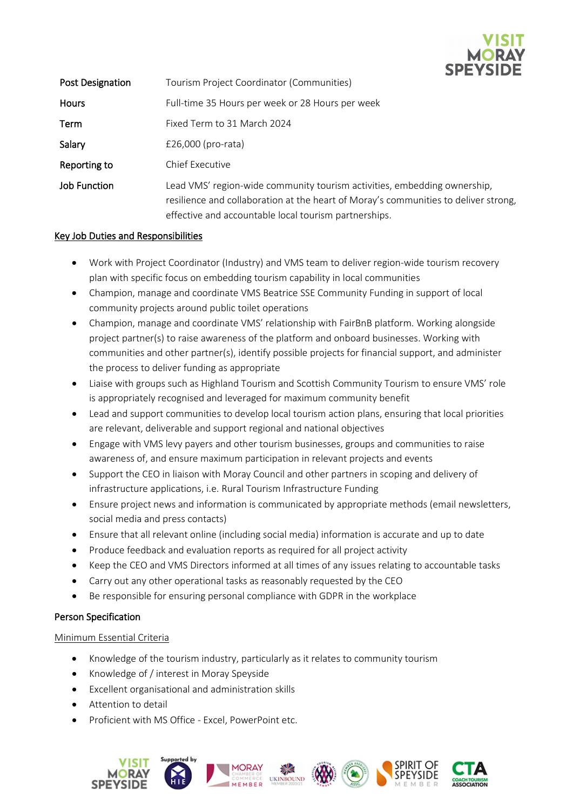

| <b>Post Designation</b> | Tourism Project Coordinator (Communities)                                                                                                                                                                                |
|-------------------------|--------------------------------------------------------------------------------------------------------------------------------------------------------------------------------------------------------------------------|
| <b>Hours</b>            | Full-time 35 Hours per week or 28 Hours per week                                                                                                                                                                         |
| Term                    | Fixed Term to 31 March 2024                                                                                                                                                                                              |
| Salary                  | $£26,000$ (pro-rata)                                                                                                                                                                                                     |
| Reporting to            | Chief Executive                                                                                                                                                                                                          |
| Job Function            | Lead VMS' region-wide community tourism activities, embedding ownership,<br>resilience and collaboration at the heart of Moray's communities to deliver strong,<br>effective and accountable local tourism partnerships. |

## Key Job Duties and Responsibilities

- Work with Project Coordinator (Industry) and VMS team to deliver region-wide tourism recovery plan with specific focus on embedding tourism capability in local communities
- Champion, manage and coordinate VMS Beatrice SSE Community Funding in support of local community projects around public toilet operations
- Champion, manage and coordinate VMS' relationship with FairBnB platform. Working alongside project partner(s) to raise awareness of the platform and onboard businesses. Working with communities and other partner(s), identify possible projects for financial support, and administer the process to deliver funding as appropriate
- Liaise with groups such as Highland Tourism and Scottish Community Tourism to ensure VMS' role is appropriately recognised and leveraged for maximum community benefit
- Lead and support communities to develop local tourism action plans, ensuring that local priorities are relevant, deliverable and support regional and national objectives
- Engage with VMS levy payers and other tourism businesses, groups and communities to raise awareness of, and ensure maximum participation in relevant projects and events
- Support the CEO in liaison with Moray Council and other partners in scoping and delivery of infrastructure applications, i.e. Rural Tourism Infrastructure Funding
- Ensure project news and information is communicated by appropriate methods (email newsletters, social media and press contacts)
- Ensure that all relevant online (including social media) information is accurate and up to date
- Produce feedback and evaluation reports as required for all project activity
- Keep the CEO and VMS Directors informed at all times of any issues relating to accountable tasks
- Carry out any other operational tasks as reasonably requested by the CEO
- Be responsible for ensuring personal compliance with GDPR in the workplace

## Person Specification

## Minimum Essential Criteria

- Knowledge of the tourism industry, particularly as it relates to community tourism
- Knowledge of / interest in Moray Speyside
- Excellent organisational and administration skills
- Attention to detail
- Proficient with MS Office Excel, PowerPoint etc.